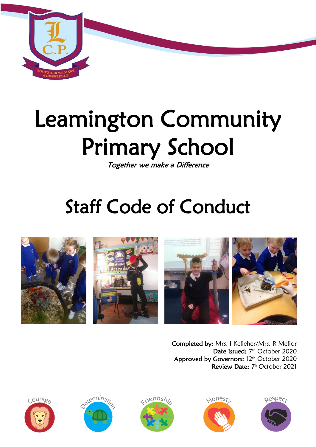

# Leamington Community Primary School

Together we make a Difference

## Staff Code of Conduct



Completed by: Mrs. I Kelleher/Mrs. R Mellor Date Issued: 7<sup>th</sup> October 2020 Approved by Governors: 12<sup>th</sup> October 2020 Review Date: 7 <sup>h</sup> October 2021









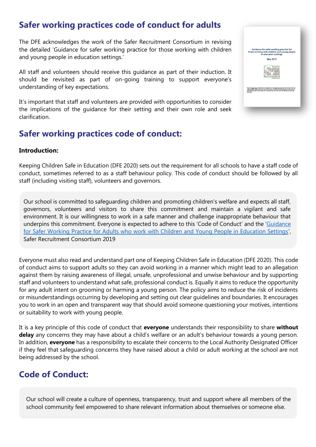## **Safer working practices code of conduct for adults**

The DFE acknowledges the work of the Safer Recruitment Consortium in revising the detailed 'Guidance for safer working practice for those working with children and young people in education settings.'

All staff and volunteers should receive this guidance as part of their induction. It should be revisited as part of on-going training to support everyone's understanding of key expectations.

It's important that staff and volunteers are provided with opportunities to consider the implications of the guidance for their setting and their own role and seek clarification.

## **Safer working practices code of conduct:**

#### **Introduction:**

Keeping Children Safe in Education (DFE 2020) sets out the requirement for all schools to have a staff code of conduct, sometimes referred to as a staff behaviour policy. This code of conduct should be followed by all staff (including visiting staff), volunteers and governors.

Our school is committed to safeguarding children and promoting children's welfare and expects all staff, governors, volunteers and visitors to share this commitment and maintain a vigilant and safe environment. It is our willingness to work in a safe manner and challenge inappropriate behaviour that underpins this commitment. Everyone is expected to adhere to this 'Code of Conduct' and the '[Guidance](http://www.saferrecruitmentconsortium.org/GSWP%20May%202019%20final.pdf)  [for Safer Working Practice for Adults who work with Children and Young People in Education Settings](http://www.saferrecruitmentconsortium.org/GSWP%20May%202019%20final.pdf)', Safer Recruitment Consortium 2019

Everyone must also read and understand part one of Keeping Children Safe in Education (DFE 2020). This code of conduct aims to support adults so they can avoid working in a manner which might lead to an allegation against them by raising awareness of illegal, unsafe, unprofessional and unwise behaviour and by supporting staff and volunteers to understand what safe, professional conduct is. Equally it aims to reduce the opportunity for any adult intent on grooming or harming a young person. The policy aims to reduce the risk of incidents or misunderstandings occurring by developing and setting out clear guidelines and boundaries. It encourages you to work in an open and transparent way that should avoid someone questioning your motives, intentions or suitability to work with young people.

It is a key principle of this code of conduct that **everyone** understands their responsibility to share **without delay** any concerns they may have about a child's welfare or an adult's behaviour towards a young person. In addition, **everyone** has a responsibility to escalate their concerns to the Local Authority Designated Officer if they feel that safeguarding concerns they have raised about a child or adult working at the school are not being addressed by the school.

### **Code of Conduct:**

Our school will create a culture of openness, transparency, trust and support where all members of the school community feel empowered to share relevant information about themselves or someone else.

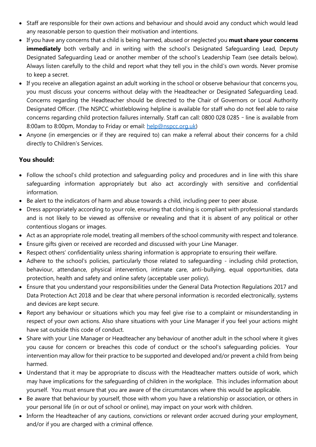- Staff are responsible for their own actions and behaviour and should avoid any conduct which would lead any reasonable person to question their motivation and intentions.
- If you have any concerns that a child is being harmed, abused or neglected you **must share your concerns immediately** both verbally and in writing with the school's Designated Safeguarding Lead, Deputy Designated Safeguarding Lead or another member of the school's Leadership Team (see details below). Always listen carefully to the child and report what they tell you in the child's own words. Never promise to keep a secret.
- If you receive an allegation against an adult working in the school or observe behaviour that concerns you, you must discuss your concerns without delay with the Headteacher or Designated Safeguarding Lead. Concerns regarding the Headteacher should be directed to the Chair of Governors or Local Authority Designated Officer. (The NSPCC whistleblowing helpline is available for staff who do not feel able to raise concerns regarding child protection failures internally. Staff can call: 0800 028 0285 – line is available from 8:00am to 8:00pm, Monday to Friday or email: [help@nspcc.org.uk\)](mailto:help@nspcc.org.uk)
- Anyone (in emergencies or if they are required to) can make a referral about their concerns for a child directly to Children's Services.

#### **You should:**

- Follow the school's child protection and safeguarding policy and procedures and in line with this share safeguarding information appropriately but also act accordingly with sensitive and confidential information.
- Be alert to the indicators of harm and abuse towards a child, including peer to peer abuse.
- Dress appropriately according to your role, ensuring that clothing is compliant with professional standards and is not likely to be viewed as offensive or revealing and that it is absent of any political or other contentious slogans or images.
- Act as an appropriate role model, treating all members of the school community with respect and tolerance.
- Ensure gifts given or received are recorded and discussed with your Line Manager.
- Respect others' confidentiality unless sharing information is appropriate to ensuring their welfare.
- Adhere to the school's policies, particularly those related to safeguarding including child protection, behaviour, attendance, physical intervention, intimate care, anti-bullying, equal opportunities, data protection, health and safety and online safety (acceptable user policy).
- Ensure that you understand your responsibilities under the General Data Protection Regulations 2017 and Data Protection Act 2018 and be clear that where personal information is recorded electronically, systems and devices are kept secure.
- Report any behaviour or situations which you may feel give rise to a complaint or misunderstanding in respect of your own actions. Also share situations with your Line Manager if you feel your actions might have sat outside this code of conduct.
- Share with your Line Manager or Headteacher any behaviour of another adult in the school where it gives you cause for concern or breaches this code of conduct or the school's safeguarding policies. Your intervention may allow for their practice to be supported and developed and/or prevent a child from being harmed.
- Understand that it may be appropriate to discuss with the Headteacher matters outside of work, which may have implications for the safeguarding of children in the workplace. This includes information about yourself. You must ensure that you are aware of the circumstances where this would be applicable.
- Be aware that behaviour by yourself, those with whom you have a relationship or association, or others in your personal life (in or out of school or online), may impact on your work with children.
- Inform the Headteacher of any cautions, convictions or relevant order accrued during your employment, and/or if you are charged with a criminal offence.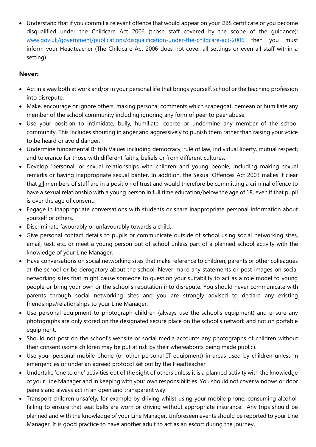Understand that if you commit a relevant offence that would appear on your DBS certificate or you become disqualified under the Childcare Act 2006 (those staff covered by the scope of the guidance): [www.gov.uk/government/publications/disqualification-under-the-childcare-act-2006](http://www.gov.uk/government/publications/disqualification-under-the-childcare-act-2006) then you must inform your Headteacher (The Childcare Act 2006 does not cover all settings or even all staff within a setting).

#### **Never:**

- Act in a way both at work and/or in your personal life that brings yourself, school or the teaching profession into disrepute.
- Make, encourage or ignore others, making personal comments which scapegoat, demean or humiliate any member of the school community including ignoring any form of peer to peer abuse.
- Use your position to intimidate, bully, humiliate, coerce or undermine any member of the school community. This includes shouting in anger and aggressively to punish them rather than raising your voice to be heard or avoid danger.
- Undermine fundamental British Values including democracy, rule of law, individual liberty, mutual respect, and tolerance for those with different faiths, beliefs or from different cultures.
- Develop 'personal' or sexual relationships with children and young people, including making sexual remarks or having inappropriate sexual banter. In addition, the Sexual Offences Act 2003 makes it clear that all members of staff are in a position of trust and would therefore be committing a criminal offence to have a sexual relationship with a young person in full time education/below the age of 18, even if that pupil is over the age of consent.
- Engage in inappropriate conversations with students or share inappropriate personal information about yourself or others.
- Discriminate favourably or unfavourably towards a child.
- Give personal contact details to pupils or communicate outside of school using social networking sites, email, text, etc. or meet a young person out of school unless part of a planned school activity with the knowledge of your Line Manager.
- Have conversations on social networking sites that make reference to children, parents or other colleagues at the school or be derogatory about the school. Never make any statements or post images on social networking sites that might cause someone to question your suitability to act as a role model to young people or bring your own or the school's reputation into disrepute. You should never communicate with parents through social networking sites and you are strongly advised to declare any existing friendships/relationships to your Line Manager.
- Use personal equipment to photograph children (always use the school's equipment) and ensure any photographs are only stored on the designated secure place on the school's network and not on portable equipment.
- Should not post on the school's website or social media accounts any photographs of children without their consent (some children may be put at risk by their whereabouts being made public).
- Use your personal mobile phone (or other personal IT equipment) in areas used by children unless in emergencies or under an agreed protocol set out by the Headteacher.
- Undertake 'one to one' activities out of the sight of others unless it is a planned activity with the knowledge of your Line Manager and in keeping with your own responsibilities. You should not cover windows or door panels and always act in an open and transparent way.
- Transport children unsafely, for example by driving whilst using your mobile phone, consuming alcohol, failing to ensure that seat belts are worn or driving without appropriate insurance. Any trips should be planned and with the knowledge of your Line Manager. Unforeseen events should be reported to your Line Manager. It is good practice to have another adult to act as an escort during the journey.